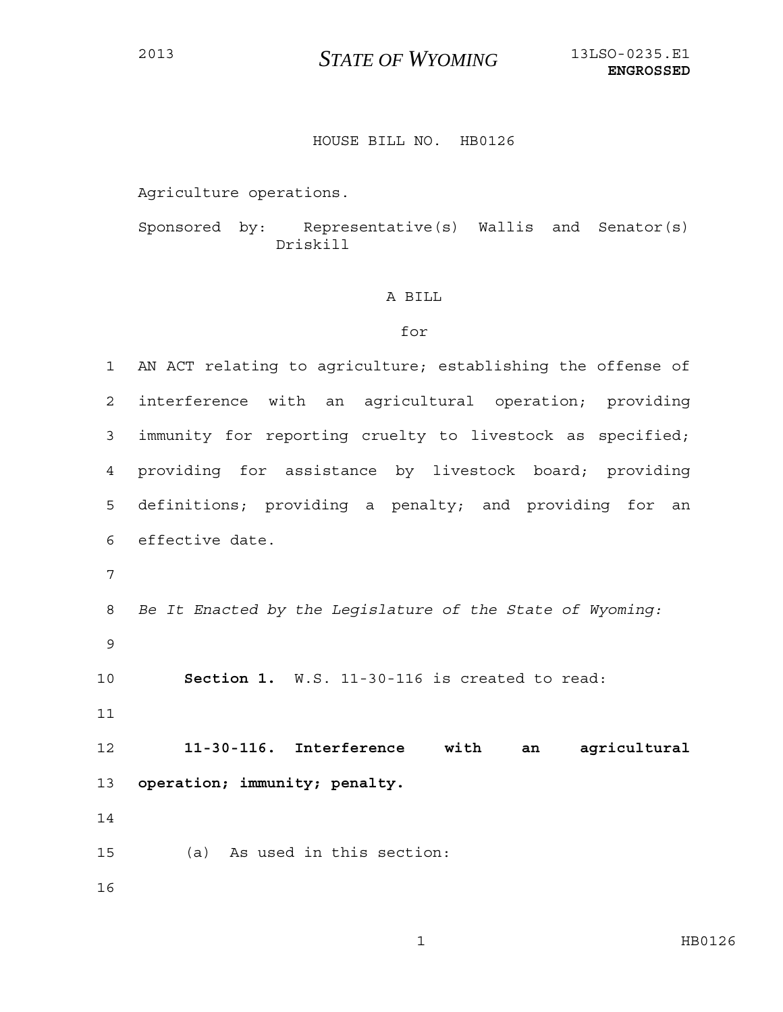## <sup>2013</sup>*STATE OF WYOMING* 13LSO-0235.E1

## HOUSE BILL NO. HB0126

Agriculture operations.

Sponsored by: Representative(s) Wallis and Senator(s) Driskill

## A BILL

## for

1 AN ACT relating to agriculture; establishing the offense of 2 interference with an agricultural operation; providing 3 immunity for reporting cruelty to livestock as specified; 4 providing for assistance by livestock board; providing 5 definitions; providing a penalty; and providing for an 6 effective date. 7 8 *Be It Enacted by the Legislature of the State of Wyoming:* 9 10 **Section 1.** W.S. 11-30-116 is created to read: 11 12 **11-30-116. Interference with an agricultural**  13 **operation; immunity; penalty.**  14 15 (a) As used in this section: 16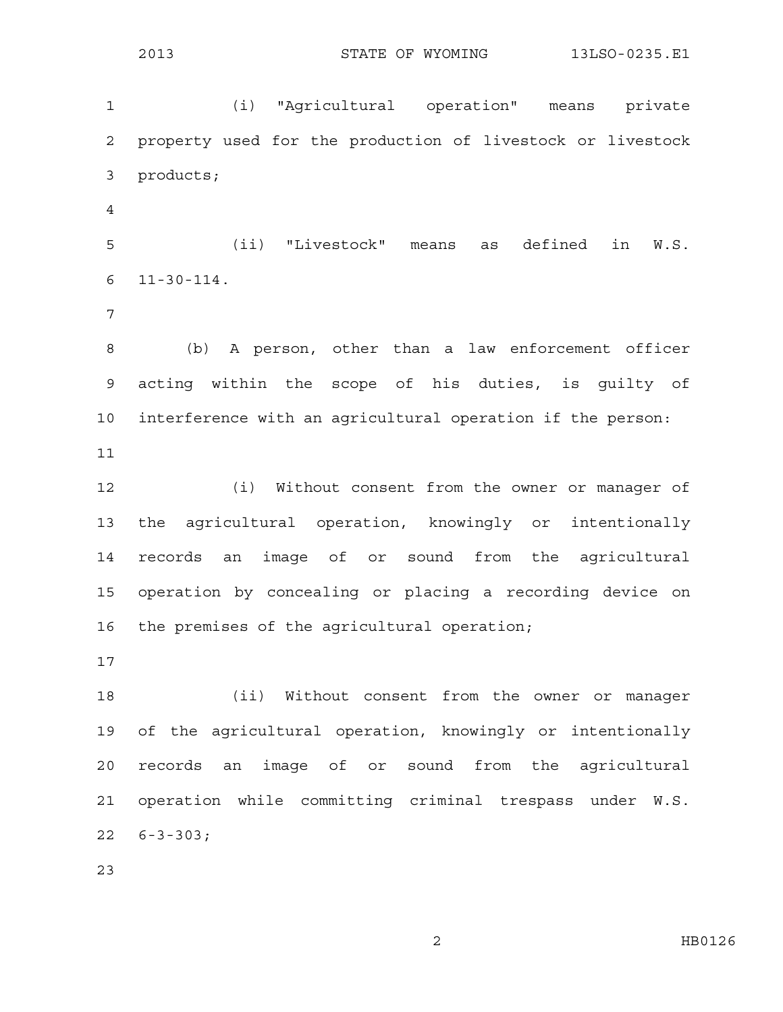1 (i) "Agricultural operation" means private 2 property used for the production of livestock or livestock 3 products; 4 5 (ii) "Livestock" means as defined in W.S. 6 11-30-114. 7 8 (b) A person, other than a law enforcement officer 9 acting within the scope of his duties, is guilty of 10 interference with an agricultural operation if the person: 11 12 (i) Without consent from the owner or manager of 13 the agricultural operation, knowingly or intentionally 14 records an image of or sound from the agricultural 15 operation by concealing or placing a recording device on 16 the premises of the agricultural operation; 17 18 (ii) Without consent from the owner or manager 19 of the agricultural operation, knowingly or intentionally 20 records an image of or sound from the agricultural 21 operation while committing criminal trespass under W.S. 22 6-3-303;

23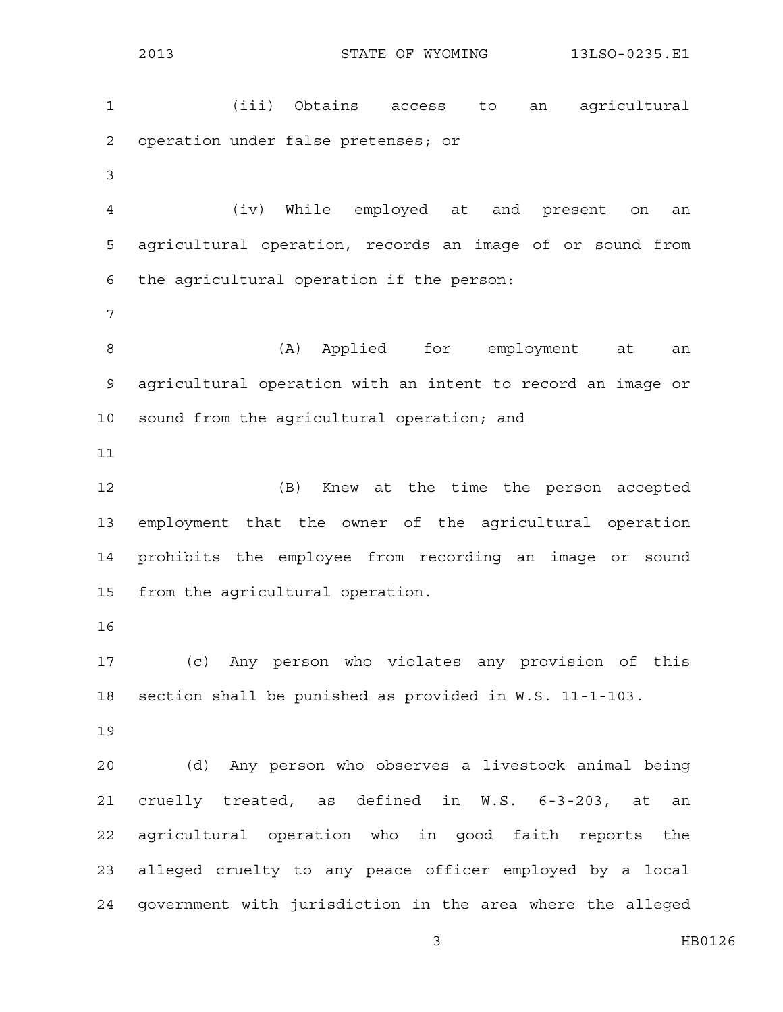2013 STATE OF WYOMING 13LSO-0235.E1 1 (iii) Obtains access to an agricultural 2 operation under false pretenses; or 3 4 (iv) While employed at and present on an 5 agricultural operation, records an image of or sound from 6 the agricultural operation if the person: 7 8 (A) Applied for employment at an 9 agricultural operation with an intent to record an image or 10 sound from the agricultural operation; and 11 12 (B) Knew at the time the person accepted 13 employment that the owner of the agricultural operation 14 prohibits the employee from recording an image or sound 15 from the agricultural operation. 16 17 (c) Any person who violates any provision of this 18 section shall be punished as provided in W.S. 11-1-103. 19 20 (d) Any person who observes a livestock animal being 21 cruelly treated, as defined in W.S. 6-3-203, at an 22 agricultural operation who in good faith reports the 23 alleged cruelty to any peace officer employed by a local 24 government with jurisdiction in the area where the alleged

3 HB0126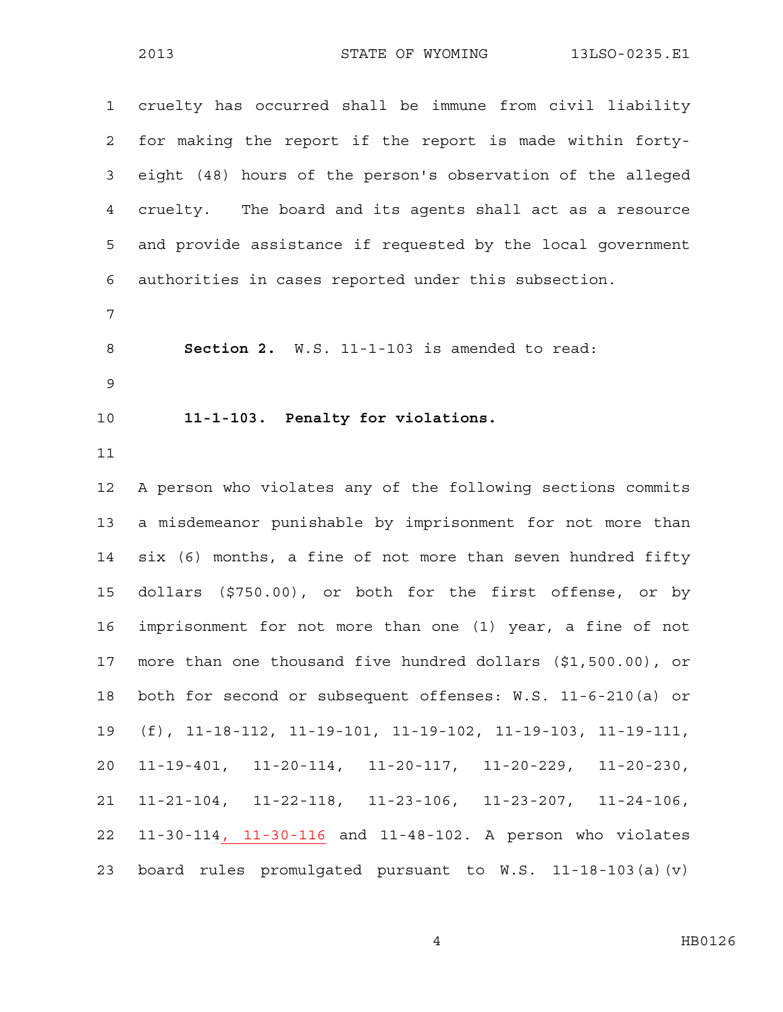1 cruelty has occurred shall be immune from civil liability 2 for making the report if the report is made within forty-3 eight (48) hours of the person's observation of the alleged 4 cruelty. The board and its agents shall act as a resource 5 and provide assistance if requested by the local government 6 authorities in cases reported under this subsection. 7 8 **Section 2.** W.S. 11-1-103 is amended to read: 9 10 **11-1-103. Penalty for violations.**  11 12 A person who violates any of the following sections commits 13 a misdemeanor punishable by imprisonment for not more than 14 six (6) months, a fine of not more than seven hundred fifty 15 dollars (\$750.00), or both for the first offense, or by 16 imprisonment for not more than one (1) year, a fine of not 17 more than one thousand five hundred dollars (\$1,500.00), or 18 both for second or subsequent offenses: W.S. 11-6-210(a) or 19 (f), 11-18-112, 11-19-101, 11-19-102, 11-19-103, 11-19-111, 20 11-19-401, 11-20-114, 11-20-117, 11-20-229, 11-20-230, 21 11-21-104, 11-22-118, 11-23-106, 11-23-207, 11-24-106, 22 11-30-114, 11-30-116 and 11-48-102. A person who violates 23 board rules promulgated pursuant to W.S. 11-18-103(a)(v)

4 HB0126